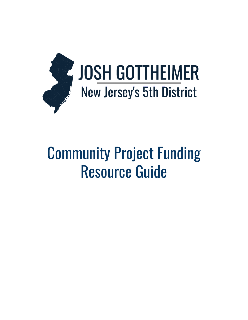

# Community Project Funding Resource Guide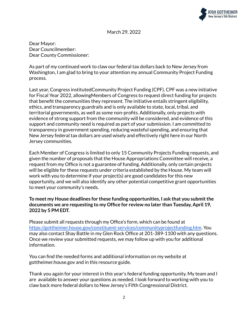

March 29, 2022

Dear Mayor: Dear Councilmember: Dear County Commissioner:

As part of my continued work to claw our federal tax dollars back to New Jersey from Washington, I am glad to bring to your attention my annual Community Project Funding process.

Last year, Congress institutedCommunity Project Funding (CPF). CPF was a new initiative for Fiscal Year 2022, allowingMembers of Congress to request direct funding for projects that benefit the communities they represent. The initiative entails stringent eligibility, ethics, and transparency guardrails and is only available to state, local, tribal, and territorial governments, as well as some non-profits. Additionally, only projects with evidence of strong support from the community will be considered, and evidence of this support and community need is required as part of your submission. I am committed to transparency in government spending, reducing wasteful spending, and ensuring that New Jersey federal tax dollars are used wisely and effectively right here in our North Jersey communities.

Each Member of Congress is limited to only 15 Community Projects Funding requests, and given the number of proposals that the House Appropriations Committee will receive, a request from my Office is not a guarantee of funding. Additionally, only certain projects will be eligible for these requests under criteria established by the House. My team will work with you to determine if your project(s) are good candidates for this new opportunity, and we will also identify any other potential competitive grant opportunities to meet your community's needs.

## **To meet my House deadlines for these funding opportunities, I ask that you submitthe documents we are requesting to my Office for review no later than Tuesday, April 19, 2022 by 5 PM EDT.**

Please submit all requests through my Office's form, which can be found at <https://gottheimer.house.gov/constituent-services/communityprojectfunding.htm>. You may also contact Shay Battle in my Glen Rock Office at 201-389-1100 with any questions. Once we review your submitted requests, we may follow up with you for additional information.

You can find the needed forms and additional information on my website at gottheimer.house.gov and in this resource guide.

Thank you again for your interest in this year's federal funding opportunity. My team and I are available to answer your questions as needed. I look forward to working with you to claw back more federal dollars to New Jersey's Fifth Congressional District.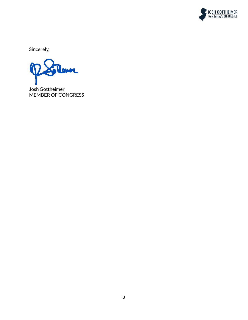

Sincerely,

Josh Gottheimer MEMBER OF CONGRESS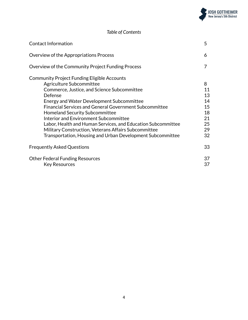

# *Table of Contents*

| <b>Contact Information</b>                                                                                                                                                                                                                                                                                                                                                                                                                                                                                                     | 5                                                       |
|--------------------------------------------------------------------------------------------------------------------------------------------------------------------------------------------------------------------------------------------------------------------------------------------------------------------------------------------------------------------------------------------------------------------------------------------------------------------------------------------------------------------------------|---------------------------------------------------------|
| Overview of the Appropriations Process                                                                                                                                                                                                                                                                                                                                                                                                                                                                                         | 6                                                       |
| Overview of the Community Project Funding Process                                                                                                                                                                                                                                                                                                                                                                                                                                                                              | 7                                                       |
| Community Project Funding Eligible Accounts<br>Agriculture Subcommittee<br>Commerce, Justice, and Science Subcommittee<br>Defense<br><b>Energy and Water Development Subcommittee</b><br><b>Financial Services and General Government Subcommittee</b><br><b>Homeland Security Subcommittee</b><br>Interior and Environment Subcommittee<br>Labor, Health and Human Services, and Education Subcommittee<br>Military Construction, Veterans Affairs Subcommittee<br>Transportation, Housing and Urban Development Subcommittee | 8<br>11<br>13<br>14<br>15<br>18<br>21<br>25<br>29<br>32 |
| <b>Frequently Asked Questions</b>                                                                                                                                                                                                                                                                                                                                                                                                                                                                                              | 33                                                      |
| <b>Other Federal Funding Resources</b><br><b>Key Resources</b>                                                                                                                                                                                                                                                                                                                                                                                                                                                                 | 37<br>37                                                |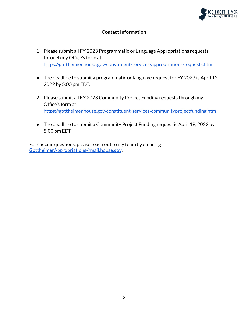

# **Contact Information**

- 1) Please submit all FY 2023 Programmatic or Language Appropriations requests through my Office's form at <https://gottheimer.house.gov/constituent-services/appropriations-requests.htm>
- The deadline to submit a programmatic or language request for FY 2023 is April 12, 2022 by 5:00 pm EDT.
- 2) Please submit all FY 2023 Community Project Funding requests through my Office's form at <https://gottheimer.house.gov/constituent-services/communityprojectfunding.htm>
- The deadline to submit a Community Project Funding request is April 19, 2022 by 5:00 pm EDT.

For specific questions, please reach out to my team by emailing [GottheimerAppropriations@mail.house.gov](mailto:GottheimerAppropriations@mail.house.gov).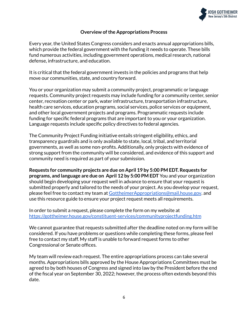

### **Overview ofthe Appropriations Process**

Every year, the United States Congress considers and enacts annual appropriations bills, which provide the federal government with the funding it needs to operate. These bills fund numerous activities, including government operations, medical research, national defense, infrastructure, and education.

It is critical that the federal government invests in the policies and programs that help move our communities, state, and country forward.

You or your organization may submit a community project, programmatic or language requests. Community project requests may include funding for a community center, senior center, recreation center or park, water infrastructure, transportation infrastructure, health care services, education programs, social services, police services or equipment, and other local government projects and programs. Programmatic requests include funding for specific federal programs that are important to you or your organization. Language requests include specific policy directives to federal agencies.

The Community Project Funding initiative entails stringent eligibility, ethics, and transparency guardrails and is only available to state, local, tribal, and territorial governments, as well as some non-profits. Additionally, only projects with evidence of strong support from the community will be considered, and evidence of this support and community need is required as part of your submission.

**Requests for community projects are due on April 19 by 5:00 PM EDT. Requests for programs, and language are due on April 12 by 5:00 PM EDT** You and your organization should begin developing your request well in advance to ensure that your request is submitted properly and tailored to the needs of your project. As you develop your request, please feel free to contact my team at [GottheimerAppropriations@mail.house.gov](mailto:GottheimerAppropriations@mail.house.gov). and use this resource guide to ensure your project request meets all requirements.

In order to submit a request, please complete the form on my website at <https://gottheimer.house.gov/constituent-services/communityprojectfunding.htm>

We cannot guarantee that requests submitted after the deadline noted on my form will be considered. If you have problems or questions while completing these forms, please feel free to contact my staff. My staff is unable to forward request forms to other Congressional or Senate offices.

My team will review each request. The entire appropriations process can take several months. Appropriations bills approved by the House Appropriations Committees must be agreed to by both houses of Congress and signed into law by the President before the end of the fiscal year on September 30, 2022; however, the process often extends beyond this date.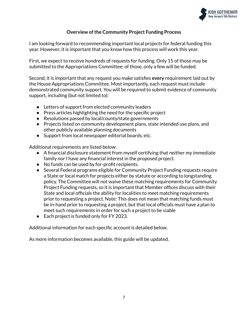

# **Overview ofthe Community Project Funding Process**

I am looking forward to recommending important local projects for federal funding this year. However, it is important that you know how this process will work this year.

First, we expect to receive hundreds of requests for funding. Only 15 of those may be submitted to the Appropriations Committee; of those, only a few will be funded.

Second, it is important that any request you make satisfies **every** requirement laid out by the House Appropriations Committee. Most importantly, each request must include demonstrated community support. You will be required to submit evidence of community support, including (but not limited to):

- Letters of support from elected community leaders
- Press articles highlighting the need for the specific project
- Resolutions passed by local/county/state governments
- Projects listed on community development plans, state intended use plans, and other publicly available planning documents
- Support from local newspaper editorial boards, etc.

Additional requirements are listed below:

- A financial disclosure statement from myself certifying that neither my immediate family nor I have any financial interest in the proposed project.
- No funds can be used by for-profit recipients.
- Several Federal programs eligible for Community Project Funding requests require a State or local match for projects either by statute or according to longstanding policy. The Committee will not waive these matching requirements for Community Project Funding requests, so it is important that Member offices discuss with their State and local officials the ability for localities to meet matching requirements prior to requesting a project. Note: This does not mean that matching funds must be in-hand prior to requesting a project, but that local officials must have a plan to meet such requirements in order for such a project to be viable
- Each project is funded only for FY 2023.

Additional information for each specific account is detailed below.

As more information becomes available, this guide will be updated.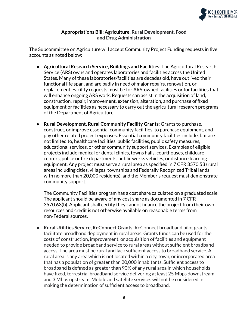

# **Appropriations Bill: Agriculture, Rural Development, Food and Drug Administration**

The Subcommittee on Agriculture will accept Community Project Funding requests in five accounts as noted below:

- **Agricultural Research Service, Buildings and Facilities**: The Agricultural Research Service (ARS) owns and operates laboratories and facilities across the United States. Many of these laboratories/facilities are decades old, have outlived their functional life span, and are badly in need of major repairs, renovation, or replacement. Facility requests must be for ARS-owned facilities or for facilities that will enhance ongoing ARS work. Requests can assist in the acquisition of land, construction, repair, improvement, extension, alteration, and purchase of fixed equipment or facilities as necessary to carry out the agricultural research programs of the Department of Agriculture.
- **Rural Development, Rural Community Facility Grants**: Grants to purchase, construct, or improve essential community facilities, to purchase equipment, and pay other related project expenses. Essential community facilities include, but are not limited to, healthcare facilities, public facilities, public safety measures, educational services, or other community support services. Examples of eligible projects include medical or dental clinics, towns halls, courthouses, childcare centers, police or fire departments, public works vehicles, or distance learning equipment. Any project must serve a rural area as specified in 7 CFR 3570.53 (rural areas including cities, villages, townships and Federally Recognized Tribal lands with no more than 20,000 residents), and the Member's request must demonstrate community support.

The Community Facilities program has a cost share calculated on a graduated scale. The applicant should be aware of any cost share as documented in 7 CFR 3570.63(b). Applicant shall certify they cannot finance the project from their own resources and credit is not otherwise available on reasonable terms from non-Federal sources.

● **Rural Utilities Service, ReConnect Grants**: ReConnect broadband pilot grants facilitate broadband deployment in rural areas. Grants funds can be used for the costs of construction, improvement, or acquisition of facilities and equipment needed to provide broadband service to rural areas without sufficient broadband access. The area must be rural and lack sufficient access to broadband service. A rural area is any area which is not located within a city, town, or incorporated area that has a population of greater than 20,000 inhabitants. Sufficient access to broadband is defined as greater than 90% of any rural area in which households have fixed, terrestrial broadband service delivering at least 25 Mbps downstream and 3 Mbps upstream. Mobile and satellite services will not be considered in making the determination of sufficient access to broadband.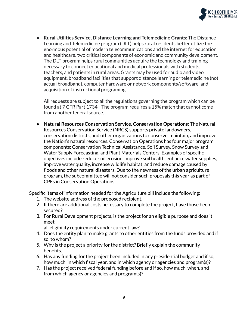

● **Rural Utilities Service, Distance Learning and Telemedicine Grants**: The Distance Learning and Telemedicine program (DLT) helps rural residents better utilize the enormous potential of modern telecommunications and the internet for education and healthcare, two critical components of economic and community development. The DLT program helps rural communities acquire the technology and training necessary to connect educational and medical professionals with students, teachers, and patients in rural areas. Grants may be used for audio and video equipment, broadband facilities that support distance learning or telemedicine (not actual broadband), computer hardware or network components/software, and acquisition of instructional programing.

All requests are subject to all the regulations governing the program which can be found at 7 CFR Part 1734. The program requires a 15% match that cannot come from another federal source.

● **Natural Resources Conservation Service, Conservation Operations**: The Natural Resources Conservation Service (NRCS) supports private landowners, conservation districts, and other organizations to conserve, maintain, and improve the Nation's natural resources. Conservation Operations has four major program components: Conservation Technical Assistance, Soil Survey, Snow Survey and Water Supply Forecasting, and Plant Materials Centers. Examples of specific objectives include reduce soil erosion, improve soil health, enhance water supplies, improve water quality, increase wildlife habitat, and reduce damage caused by floods and other natural disasters. Due to the newness of the urban agriculture program, the subcommittee will not consider such proposals this year as part of CPFs in Conservation Operations.

Specific items of information needed for the Agriculture bill include the following:

- 1. The website address of the proposed recipient.
- 2. If there are additional costs necessary to complete the project, have those been secured?
- 3. For Rural Development projects, is the project for an eligible purpose and does it meet

all eligibility requirements under current law?

- 4. Does the entity plan to make grants to other entities from the funds provided and if so, to whom?
- 5. Why is the project a priority for the district? Briefly explain the community benefits.
- 6. Has any funding for the project been included in any presidential budget and if so, how much, in which fiscal year, and in which agency or agencies and program(s)?
- 7. Has the project received federal funding before and if so, how much, when, and from which agency or agencies and program(s)?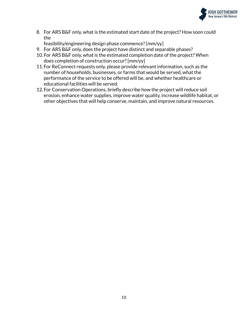

8. For ARS B&F only, what is the estimated start date of the project? How soon could the

feasibility/engineering design phase commence?[mm/yy]

- 9. For ARS B&F only, does the project have distinct and separable phases?
- 10.For ARS B&F only, what is the estimated completion date of the project? When does completion of construction occur?[mm/yy]
- 11.For ReConnect requests only, please provide relevant information, such as the number of households, businesses, or farms that would be served, what the performance of the service to be offered will be, and whether healthcare or educational facilities will be served.
- 12.For Conservation Operations, briefly describe how the project will reduce soil erosion, enhance water supplies, improve water quality, increase wildlife habitat, or other objectives that will help conserve, maintain, and improve natural resources.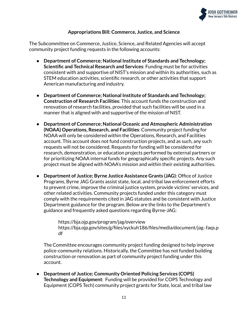

# **Appropriations Bill: Commerce, Justice, and Science**

The Subcommittee on Commerce, Justice, Science, and Related Agencies will accept community project funding requests in the following accounts:

- **Department of Commerce; National Institute of Standards and Technology; Scientific and Technical Research and Services**: Funding must be for activities consistent with and supportive of NIST's mission and within its authorities, such as STEM education activities, scientific research, or other activities that support American manufacturing and industry.
- **Department of Commerce; National Institute of Standards and Technology; Construction of Research Facilities**: This account funds the construction and renovation of research facilities, provided that such facilities will be used in a manner that is aligned with and supportive of the mission of NIST.
- **Department of Commerce; National Oceanic and Atmospheric Administration (NOAA) Operations, Research, and Facilities**: Community project funding for NOAA will only be considered within the Operations, Research, and Facilities account. This account does not fund construction projects, and as such, any such requests will not be considered. Requests for funding will be considered for research, demonstration, or education projects performed by external partners or for prioritizing NOAA internal funds for geographically specific projects. Any such project must be aligned with NOAA's mission and within their existing authorities.
- **Department of Justice; Byrne Justice Assistance Grants (JAG)**: Office of Justice Programs, Byrne JAG Grants assist state, local, and tribal law enforcement efforts to prevent crime, improve the criminal justice system, provide victims' services, and other related activities. Community projects funded under this category must comply with the requirements cited in JAG statutes and be consistent with Justice Department guidance for the program. Below are the links to the Department's guidance and frequently asked questions regarding Byrne-JAG:

https://bja.ojp.gov/program/jag/overview https://bja.ojp.gov/sites/g/files/xyckuh186/files/media/document/jag‐faqs.p df

The Committee encourages community project funding designed to help improve police-community relations. Historically, the Committee has not funded building construction or renovation as part of community project funding under this account.

● **Department of Justice; Community Oriented Policing Services (COPS) Technology and Equipment**: Funding will be provided for COPS Technology and Equipment (COPS Tech) community project grants for State, local, and tribal law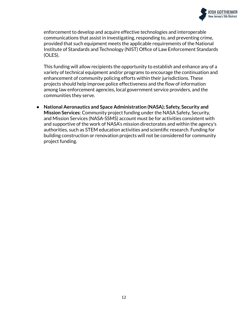

enforcement to develop and acquire effective technologies and interoperable communications that assist in investigating, responding to, and preventing crime, provided that such equipment meets the applicable requirements of the National Institute of Standards and Technology (NIST) Office of Law Enforcement Standards (OLES).

This funding will allow recipients the opportunity to establish and enhance any of a variety of technical equipment and/or programs to encourage the continuation and enhancement of community policing efforts within their jurisdictions. These projects should help improve police effectiveness and the flow of information among law enforcement agencies, local government service providers, and the communities they serve.

● **National Aeronautics and Space Administration (NASA); Safety, Security and Mission Services**: Community project funding under the NASA Safety, Security, and Mission Services (NASA-SSMS) account must be for activities consistent with and supportive of the work of NASA's mission directorates and within the agency's authorities, such as STEM education activities and scientific research. Funding for building construction or renovation projects will not be considered for community project funding.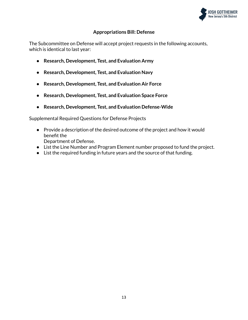

# **Appropriations Bill: Defense**

The Subcommittee on Defense will accept project requests in the following accounts, which is identical to last year:

- **● Research, Development, Test, and Evaluation Army**
- **● Research, Development, Test, and Evaluation Navy**
- **● Research, Development, Test, and Evaluation Air Force**
- **● Research, Development, Test, and Evaluation Space Force**
- **● Research, Development, Test, and Evaluation Defense-Wide**

Supplemental Required Questions for Defense Projects

- Provide a description of the desired outcome of the project and how it would benefit the Department of Defense.
- List the Line Number and Program Element number proposed to fund the project.
- List the required funding in future years and the source of that funding.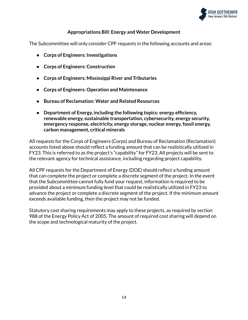

# **Appropriations Bill: Energy and Water Development**

The Subcommittee will only consider CPF requests in the following accounts and areas:

- **● Corps of Engineers: Investigations**
- **● Corps of Engineers: Construction**
- **● Corps of Engineers: Mississippi River and Tributaries**
- **● Corps of Engineers: Operation and Maintenance**
- **● Bureau of Reclamation: Water and Related Resources**
- **● Department of Energy, including the following topics: energy efficiency, renewable energy, sustainable transportation, cybersecurity, energy security, emergency response, electricity, energy storage, nuclear energy, fossil energy, carbon management, critical minerals**

All requests for the Corps of Engineers (Corps) and Bureau of Reclamation (Reclamation) accounts listed above should reflect a funding amount that can be realistically utilized in FY23. This is referred to as the project's "capability" for FY23. All projects will be sent to the relevant agency for technical assistance, including regarding project capability.

All CPF requests for the Department of Energy (DOE) should reflect a funding amount that can complete the project or complete a discrete segment of the project. In the event that the Subcommittee cannot fully fund your request, information is required to be provided about a minimum funding level that could be realistically utilized in FY23 to advance the project or complete a discrete segment of the project. If the minimum amount exceeds available funding, then the project may not be funded.

Statutory cost sharing requirements may apply to these projects, as required by section 988 of the Energy Policy Act of 2005. The amount of required cost sharing will depend on the scope and technological maturity of the project.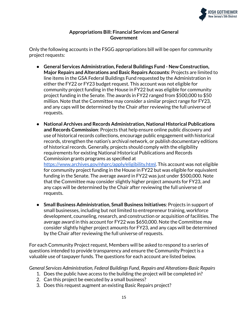

# **Appropriations Bill: Financial Services and General Government**

Only the following accounts in the FSGG appropriations bill will be open for community project requests:

- **General Services Administration, Federal Buildings Fund - New Construction, Major Repairs and Alterations and Basic Repairs Accounts**: Projects are limited to line items in the GSA Federal Buildings Fund requested by the Administration in either the FY22 or FY23 budget request. This account was not eligible for community project funding in the House in FY22 but was eligible for community project funding in the Senate. The awards in FY22 ranged from \$500,000 to \$50 million. Note that the Committee may consider a similar project range for FY23, and any caps will be determined by the Chair after reviewing the full universe of requests.
- **National Archives and Records Administration, National Historical Publications and Records Commission**: Projects that help ensure online public discovery and use of historical records collections, encourage public engagement with historical records, strengthen the nation's archival network, or publish documentary editions of historical records. Generally, projects should comply with the eligibility requirements for existing National Historical Publications and Records Commission grants programs as specified at [https://www.archives.gov/nhprc/apply/eligibility.html.](https://www.archives.gov/nhprc/apply/eligibility.html) This account was not eligible for community project funding in the House in FY22 but was eligible for equivalent

funding in the Senate. The average award in FY22 was just under \$500,000. Note that the Committee may consider slightly higher project amounts for FY23, and any caps will be determined by the Chair after reviewing the full universe of requests.

● **Small Business Administration, Small Business Initiatives**: Projects in support of small businesses, including but not limited to entrepreneur training, workforce development, counseling, research, and construction or acquisition of facilities. The average award in this account for FY22 was \$650,000. Note the Committee may consider slightly higher project amounts for FY23, and any caps will be determined by the Chair after reviewing the full universe of requests.

For each Community Project request, Members will be asked to respond to a series of questions intended to provide transparency and ensure the Community Project is a valuable use of taxpayer funds. The questions for each account are listed below.

*General Services Administration, Federal Buildings Fund, Repairs and Alterations-Basic Repairs*

- 1. Does the public have access to the building the project will be completed in?
- 2. Can this project be executed by a small business?
- 3. Does this request augment an existing Basic Repairs project?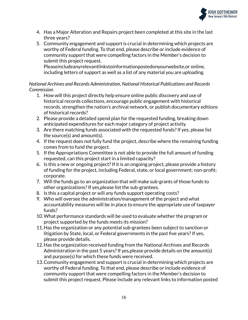

- 4. Has a Major Alteration and Repairs project been completed at this site in the last three years?
- 5. Community engagement and support is crucial in determining which projects are worthy of Federal funding. To that end, please describe or include evidence of community support that were compelling factors in the Member's decision to submit this project request.

Pleaseincludeanyrelevantlinkstoinformationpostedonyourwebsite,or online, including letters of support as well as a list of any material you are uploading.

# *National Archives and Records Administration, National Historical Publications and Records Commission*

- 1. How will this project directly help ensure online public discovery and use of historical records collections, encourage public engagement with historical records, strengthen the nation's archival network, or publish documentary editions of historical records?
- 2. Please provide a detailed spend plan for the requested funding, breaking down anticipated expenditures for each major category of project activity.
- 3. Are there matching funds associated with the requested funds?If yes, please list the source(s) and amount(s).
- 4. If the request does not fully fund the project, describe where the remaining funding comes from to fund the project.
- 5. If the Appropriations Committee is not able to provide the full amount of funding requested, can this project start in a limited capacity?
- 6. Is this a new or ongoing project?If it is an ongoing project, please provide a history of funding for the project, including Federal, state, or local government; non-profit; corporate.
- 7. Will the funds go to an organization that will make sub-grants of those funds to other organizations?If yes,please list the sub-grantees.
- 8. Is this a capital project or will any funds support operating costs?
- 9. Who will oversee the administration/management of the project and what accountability measures will be in place to ensure the appropriate use of taxpayer funds?
- 10.What performance standards will be used to evaluate whether the program or project supported by the funds meets its mission?
- 11.Has the organization or any potential sub-grantees been subject to sanction or litigation by State, local, or Federal governments in the past five years?If yes, please provide details.
- 12.Has the organization received funding from the National Archives and Records Administration in the past 5 years? If yes, please provide details on the amount(s) and purpose(s) for which these funds were received.
- 13.Community engagement and support is crucial in determining which projects are worthy of Federal funding. To that end, please describe or include evidence of community support that were compelling factors in the Member's decision to submit this project request. Please include any relevant links to information posted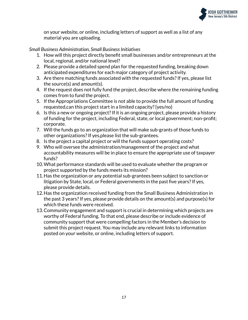

on your website, or online, including letters of support as well as a list of any material you are uploading.

# *Small* Business Administration, *Small* Business Initiatives

- 1. How will this project directly benefit small businesses and/or entrepreneurs at the local, regional, and/or national level?
- 2. Please provide a detailed spend plan for the requested funding, breaking down anticipated expenditures for each major category of project activity.
- 3. Are there matching funds associated with the requested funds?If yes, please list the source(s) and amount(s).
- 4. If the request does not fully fund the project, describe where the remaining funding comes from to fund the project.
- 5. If the Appropriations Committee is not able to provide the full amount of funding requested,can this project start in a limited capacity?{yes/no}
- 6. Is this a new or ongoing project?If it is an ongoing project, please provide a history of funding for the project, including Federal, state, or local government; non-profit; corporate.
- 7. Will the funds go to an organization that will make sub-grants of those funds to other organizations?If yes,please list the sub-grantees.
- 8. Is the project a capital project or will the funds support operating costs?
- 9. Who will oversee the administration/management of the project and what accountability measures will be in place to ensure the appropriate use of taxpayer funds?
- 10.What performance standards will be used to evaluate whether the program or project supported by the funds meets its mission?
- 11.Has the organization or any potential sub-grantees been subject to sanction or litigation by State, local, or Federal governments in the past five years? If yes, please provide details.
- 12.Has the organization received funding from the Small Business Administration in the past 3 years?If yes, please provide details on the amount(s) and purpose(s) for which these funds were received.
- 13.Community engagement and support is crucial in determining which projects are worthy of Federal funding. To that end, please describe or include evidence of community support that were compelling factors in the Member's decision to submit this project request. You may include any relevant links to information posted on your website, or online, including letters of support.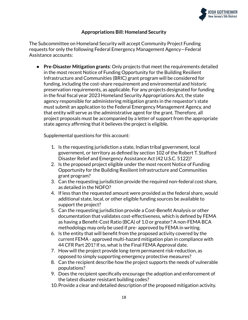

# **Appropriations Bill: Homeland Security**

The Subcommittee on Homeland Security will accept Community Project Funding requests for only the following Federal Emergency Management Agency—Federal Assistance accounts:

● **Pre-Disaster Mitigation grants**: Only projects that meet the requirements detailed in the most recent Notice of Funding Opportunity for the Building Resilient Infrastructure and Communities (BRIC) grant program will be considered for funding, including the cost-share requirement and environmental and historic preservation requirements, as applicable. For any projects designated for funding in the final fiscal year 2023 Homeland Security Appropriations Act, the state agency responsible for administering mitigation grants in the requestor's state must submit an application to the Federal Emergency Management Agency, and that entity will serve as the administrative agent for the grant. Therefore, all project proposals must be accompanied by a letter of support from the appropriate state agency affirming that it believes the project is eligible.

Supplemental questions for this account:

- 1. Is the requesting jurisdiction a state, Indian tribal government, local government, or territory as defined by section 102 of the Robert T. Stafford Disaster Relief and Emergency Assistance Act (42 U.S.C. 5122)?
- 2. Is the proposed project eligible under the most recent Notice of Funding Opportunity for the Building Resilient Infrastructure and Communities grant program?
- 3. Can the requesting jurisdiction provide the required non-federal cost share, as detailed in the NOFO?
- 4. If less than the requested amount were provided as the federal share, would additional state, local, or other eligible funding sources be available to support the project?
- 5. Can the requesting jurisdiction provide a Cost-Benefit Analysis or other documentation that validates cost-effectiveness, which is defined by FEMA as having a Benefit-Cost Ratio (BCA) of 1.0 or greater? A non-FEMA BCA methodology may only be used if pre- approved by FEMA in writing.
- 6. Is the entity that will benefit from the proposed activity covered by the current FEMA - approved multi-hazard mitigation plan in compliance with 44 CFR Part 201? If so, what is the Final FEMA Approval date.
- 7. How will the project provide long-term permanent risk-reduction, as opposed to simply supporting emergency protective measures?
- 8. Can the recipient describe how the project supports the needs of vulnerable populations?
- 9. Does the recipient specifically encourage the adoption and enforcement of the latest disaster resistant building codes?
- 10.Provide a clear and detailed description of the proposed mitigation activity.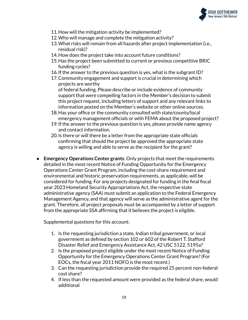

- 11.How will the mitigation activity be implemented?
- 12.Who will manage and complete the mitigation activity?
- 13.What risks will remain from all hazards after project implementation (i.e., residual risk)?
- 14.How does the project take into account future conditions?
- 15.Has the project been submitted to current or previous competitive BRIC funding cycles?
- 16.If the answer to the previous question is yes, what is the subgrant ID?
- 17.Community engagement and support is crucial in determining which projects are worthy of federal funding. Please describe or include evidence of community support that were compelling factors in the Member's decision to submit this project request, including letters of support and any relevant links to
- information posted on the Member's website or other online sources. 18.Has your office or the community consulted with state/county/local
- emergency management officials or with FEMA about the proposed project?
- 19.If the answer to the previous question is yes, please provide name agency and contact information.
- 20.Is there or will there be a letter from the appropriate state officials confirming that should the project be approved the appropriate state agency is willing and able to serve as the recipient for the grant?
- **Emergency Operations Center grants**: Only projects that meet the requirements detailed in the most recent Notice of Funding Opportunity for the Emergency Operations Center Grant Program, including the cost-share requirement and environmental and historic preservation requirements, as applicable, will be considered for funding. For any projects designated for funding in the final fiscal year 2023 Homeland Security Appropriations Act, the respective state administrative agency (SAA) must submit an application to the Federal Emergency Management Agency, and that agency will serve as the administrative agent for the grant. Therefore, all project proposals must be accompanied by a letter of support from the appropriate SSA affirming that it believes the project is eligible.

Supplemental questions for this account:

- 1. Is the requesting jurisdiction a state, Indian tribal government, or local government as defined by section 102 or 602 of the Robert T. Stafford Disaster Relief and Emergency Assistance Act, 42 USC 5122, 5195a?
- 2. Is the proposed project eligible under the most recent Notice of Funding Opportunity for the Emergency Operations Center Grant Program?(For EOCs, the fiscal year 2011 NOFO is the most recent.)
- 3. Can the requesting jurisdiction provide the required 25 percent non-federal cost share?
- 4. If less than the requested amount were provided as the federal share, would additional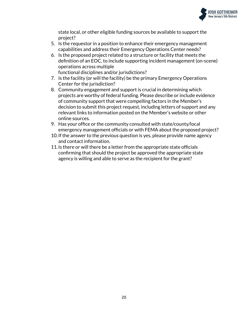

state local, or other eligible funding sources be available to support the project?

- 5. Is the requestor in a position to enhance their emergency management capabilities and address their Emergency Operations Center needs?
- 6. Is the proposed project related to a structure or facility that meets the definition of an EOC, to include supporting incident management (on-scene) operations across multiple functional disciplines and/or jurisdictions?
- 7. Is the facility (or will the facility) be the primary Emergency Operations Center for the jurisdiction?
- 8. Community engagement and support is crucial in determining which projects are worthy of federal funding. Please describe or include evidence of community support that were compelling factors in the Member's decision to submit this project request, including letters of support and any relevant links to information posted on the Member's website or other online sources.
- 9. Has your office or the community consulted with state/county/local emergency management officials or with FEMA about the proposed project?
- 10.If the answer to the previous question is yes, please provide name agency and contact information.
- 11.Is there or will there be a letter from the appropriate state officials confirming that should the project be approved the appropriate state agency is willing and able to serve as the recipient for the grant?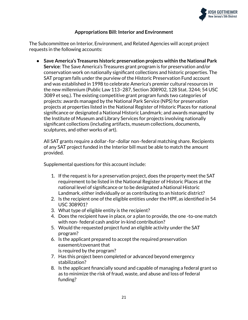

# **Appropriations Bill: Interior and Environment**

The Subcommittee on Interior, Environment, and Related Agencies will accept project requests in the following accounts:

● **Save America's Treasures historic preservation projects within the National Park Service**: The Save America's Treasures grant program is for preservation and/or conservation work on nationally significant collections and historic properties. The SAT program falls under the purview of the Historic Preservation Fund account and was established in 1998 to celebrate America's premier cultural resources in the new millennium (Public Law 113–287, Section 308902, 128 Stat. 3244; 54 USC 3089 et seq.). The existing competitive grant program funds two categories of projects: awards managed by the National Park Service (NPS) for preservation projects at properties listed in the National Register of Historic Places for national significance or designated a National Historic Landmark; and awards managed by the Institute of Museum and Library Services for projects involving nationally significant collections (including artifacts, museum collections, documents, sculptures, and other works of art).

All SAT grants require a dollar‐for‐dollar non‐federal matching share. Recipients of any SAT project funded in the Interior bill must be able to match the amount provided.

Supplemental questions for this account include:

- 1. If the request is for a preservation project, does the property meet the SAT requirement to be listed in the National Register of Historic Places at the national level of significance or to be designated a National Historic Landmark, either individually or as contributing to an historic district?
- 2. Is the recipient one of the eligible entities under the HPF, as identified in 54 USC 308901?
- 3. What type of eligible entity is the recipient?
- 4. Does the recipient have in place, or a plan to provide, the one -to-one match with non- federal cash and/or in-kind contribution?
- 5. Would the requested project fund an eligible activity under the SAT program?
- 6. Is the applicant prepared to accept the required preservation easement/covenant that is required by the program?
- 7. Has this project been completed or advanced beyond emergency stabilization?
- 8. Is the applicant financially sound and capable of managing a federal grant so as to minimize the risk of fraud, waste, and abuse and loss of federal funding?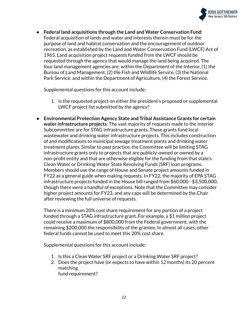

● **Federal land acquisitions through the Land and Water Conservation Fund**: Federal acquisition of lands and water and interests therein must be for the purpose of land and habitat conservation and the encouragement of outdoor recreation, as established by the Land and Water Conservation Fund (LWCF) Act of 1965. Land acquisition project requests funded from the LWCF should be requested through the agency that would manage the land being acquired. The four land management agencies are: within the Department of the Interior, (1) the Bureau of Land Management, (2) the Fish and Wildlife Service, (3) the National Park Service; and within the Department of Agriculture, (4) the Forest Service.

Supplemental questions for this account include:

- 1. Is the requested project on either the president's proposed or supplemental LWCF project list submitted by the agency?
- **Environmental Protection Agency State and Tribal Assistance Grants for certain water infrastructure projects**: The vast majority of requests made to the Interior Subcommittee are for STAG infrastructure grants. These grants fund local wastewater and drinking water infrastructure projects. This includes construction of and modifications to municipal sewage treatment plants and drinking water treatment plants. Similar to past practice, the Committee will be limiting STAG infrastructure grants only to projects that are publicly-owned or owned by a non-profit entity and that are otherwise eligible for the funding from that state's Clean Water or Drinking Water State Revolving Funds (SRF) loan programs. Members should use the range of House and Senate project amounts funded in FY22 as a general guide when making requests. In FY22, the majority of EPA STAG infrastructure projects funded in the House bill ranged from \$60,000 - \$3,500,000, though there were a handful of exceptions. Note that the Committee may consider higher project amounts for FY23, and any caps will be determined by the Chair after reviewing the full universe of requests.

There is a minimum 20% cost share requirement for any portion of a project funded through a STAG infrastructure grant. For example, a \$1 million project could receive a maximum of \$800,000 from the Federal government, with the remaining \$200,000 the responsibility of the grantee. In almost all cases, other federal funds cannot be used to meet this 20% cost share.

Supplemental questions for this account include:

- 1. Is this a Clean Water SRF project or a Drinking Water SRF project?
- 2. Does the project have (or expects to have within 12 months) its 20 percent matching fund requirement?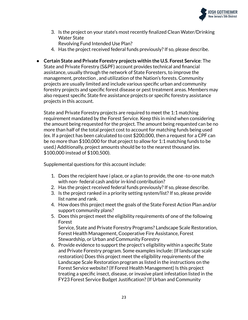

3. Is the project on your state's most recently finalized Clean Water/Drinking Water State

Revolving Fund Intended Use Plan?

- 4. Has the project received federal funds previously? If so, please describe.
- **Certain State and Private Forestry projects within the U.S. Forest Service**: The State and Private Forestry (S&PF) account provides technical and financial assistance, usually through the network of State Foresters, to improve the management, protection , and utilization of the Nation's forests. Community projects are usually limited and include various specific urban and community forestry projects and specific forest disease or pest treatment areas. Members may also request specific State fire assistance projects or specific forestry assistance projects in this account.

State and Private Forestry projects are required to meet the 1:1 matching requirement mandated by the Forest Service. Keep this in mind when considering the amount being requested for the project. The amount being requested can be no more than half of the total project cost to account for matching funds being used (ex. If a project has been calculated to cost \$200,000, then a request for a CPF can be no more than \$100,000 for that project to allow for 1:1 matching funds to be used.) Additionally, project amounts should be to the nearest thousand (ex. \$100,000 instead of \$100,500).

Supplemental questions for this account include:

- 1. Does the recipient have i place, or a plan to provide, the one -to-one match with non- federal cash and/or in-kind contribution?
- 2. Has the project received federal funds previously?If so, please describe.
- 3. Is the project ranked in a priority setting system/list?If so, please provide list name and rank.
- 4. How does this project meet the goals of the State Forest Action Plan and/or support community plans?
- 5. Does this project meet the eligibility requirements of one of the following Forest Service, State and Private Forestry Programs? Landscape Scale Restoration,

Forest Health Management, Cooperative Fire Assistance, Forest Stewardship, or Urban and Community Forestry

6. Provide evidence to support the project's eligibility within a specific State and Private Forestry program. Some examples include: (If landscape scale restoration) Does this project meet the eligibility requirements of the Landscape Scale Restoration program as listed in the instructions on the Forest Service website?(If Forest Health Management) Is this project treating a specific insect, disease, or invasive plant infestation listed in the FY23 Forest Service Budget Justification?(If Urban and Community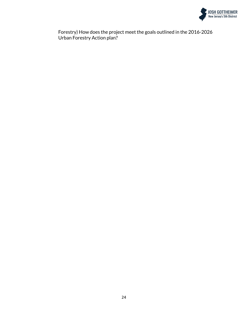

Forestry) How does the project meet the goals outlined in the 2016-2026 Urban Forestry Action plan?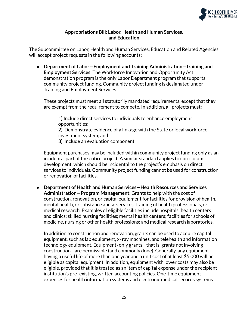

## **Appropriations Bill: Labor, Health and Human Services, and Education**

The Subcommittee on Labor, Health and Human Services, Education and Related Agencies will accept project requests in the following accounts:

● **Department of Labor—Employment and Training Administration—Training and Employment Services**: The Workforce Innovation and Opportunity Act demonstration program is the only Labor Department program that supports community project funding. Community project funding is designated under Training and Employment Services.

These projects must meet all statutorily mandated requirements, except that they are exempt from the requirement to compete. In addition, all projects must:

1) Include direct services to individuals to enhance employment opportunities;

2) Demonstrate evidence of a linkage with the State or local workforce investment system; and

3) Include an evaluation component.

Equipment purchases may be included within community project funding only as an incidental part of the entire project. A similar standard applies to curriculum development, which should be incidental to the project's emphasis on direct services to individuals. Community project funding cannot be used for construction or renovation of facilities.

● **Department of Health and Human Services—Health Resources and Services Administration—Program Management**: Grants to help with the cost of construction, renovation, or capital equipment for facilities for provision of health, mental health, or substance abuse services, training of health professionals, or medical research. Examples of eligible facilities include hospitals; health centers and clinics; skilled nursing facilities; mental health centers; facilities for schools of medicine, nursing or other health professions; and medical research laboratories.

In addition to construction and renovation, grants can be used to acquire capital equipment, such as lab equipment, x‐ray machines, and telehealth and information technology equipment. Equipment‐only grants—that is, grants not involving construction—are permissible (and commonly done). Generally, any equipment having a useful life of more than one year and a unit cost of at least \$5,000 will be eligible as capital equipment. In addition, equipment with lower costs may also be eligible, provided that it is treated as an item of capital expense under the recipient institution's pre‐existing, written accounting policies. One-time equipment expenses for health information systems and electronic medical records systems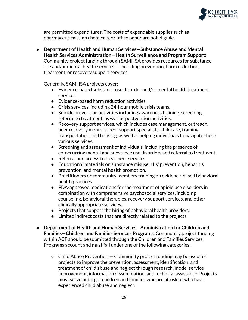

are permitted expenditures. The costs of expendable supplies such as pharmaceuticals, lab chemicals, or office paper are not eligible.

● **Department of Health and Human Services—Substance Abuse and Mental Health Services Administration—Health Surveillance and Program Support**: Community project funding through SAMHSA provides resources for substance use and/or mental health services — including prevention, harm reduction, treatment, or recovery support services.

Generally, SAMHSA projects cover:

- Evidence-based substance use disorder and/or mental health treatment services.
- Evidence-based harm reduction activities.
- Crisis services, including 24-hour mobile crisis teams.
- Suicide prevention activities including awareness training, screening, referral to treatment, as well as postvention activities.
- Recovery support services, which includes case management, outreach, peer recovery mentors, peer support specialists, childcare, training, transportation, and housing, as well as helping individuals to navigate these various services.
- Screening and assessment of individuals, including the presence of co-occurring mental and substance use disorders and referral to treatment.
- Referral and access to treatment services.
- Educational materials on substance misuse, HIV prevention, hepatitis prevention, and mental health promotion.
- Practitioners or community members training on evidence-based behavioral health practices.
- FDA-approved medications for the treatment of opioid use disorders in combination with comprehensive psychosocial services, including counseling, behavioral therapies, recovery support services, and other clinically appropriate services.
- Projects that support the hiring of behavioral health providers.
- Limited indirect costs that are directly related to the projects.
- **Department of Health and Human Services—Administration for Children and Families—Children and Families Services Programs**: Community project funding within ACF should be submitted through the Children and Families Services Programs account and must fall under one of the following categories:
	- $\circ$  Child Abuse Prevention  $-$  Community project funding may be used for projects to improve the prevention, assessment, identification, and treatment of child abuse and neglect through research, model service improvement, information dissemination, and technical assistance. Projects must serve or target children and families who are at risk or who have experienced child abuse and neglect.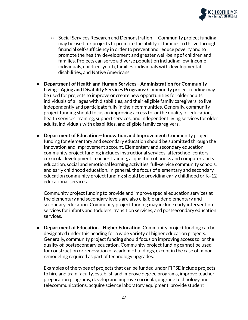

- Social Services Research and Demonstration Community project funding may be used for projects to promote the ability of families to thrive through financial self-sufficiency in order to prevent and reduce poverty and to promote the healthy development and greater well-being of children and families. Projects can serve a diverse population including: low-income individuals, children, youth, families, individuals with developmental disabilities, and Native Americans.
- **Department of Health and Human Services—Administration for Community Living—Aging and Disability Services Programs**: Community project funding may be used for projects to improve or create new opportunities for older adults, individuals of all ages with disabilities, and their eligible family caregivers, to live independently and participate fully in their communities. Generally, community project funding should focus on improving access to, or the quality of, education, health services, training, support services, and independent living services for older adults, individuals with disabilities, and eligible family caregivers.
- **Department of Education—Innovation and Improvement**: Community project funding for elementary and secondary education should be submitted through the Innovation and Improvement account. Elementary and secondary education community project funding includes instructional services, afterschool centers, curricula development, teacher training, acquisition of books and computers, arts education, social and emotional learning activities, full-service community schools, and early childhood education. In general, the focus of elementary and secondary education community project funding should be providing early childhood or K‐12 educational services.

Community project funding to provide and improve special education services at the elementary and secondary levels are also eligible under elementary and secondary education. Community project funding may include early intervention services for infants and toddlers, transition services, and postsecondary education services.

● **Department of Education—Higher Education**: Community project funding can be designated under this heading for a wide variety of higher education projects. Generally, community project funding should focus on improving access to, or the quality of, postsecondary education. Community project funding cannot be used for construction or renovation of academic buildings, except in the case of minor remodeling required as part of technology upgrades.

Examples of the types of projects that can be funded under FIPSE include projects to hire and train faculty, establish and improve degree programs, improve teacher preparation programs, develop and improve curricula, upgrade technology and telecommunications, acquire science laboratory equipment, provide student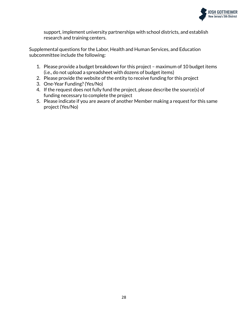

support, implement university partnerships with school districts, and establish research and training centers.

Supplemental questions for the Labor, Health and Human Services, and Education subcommittee include the following:

- 1. Please provide a budget breakdown for this project maximum of 10 budget items (i.e., do not upload a spreadsheet with dozens of budget items)
- 2. Please provide the website of the entity to receive funding for this project
- 3. One-Year Funding?(Yes/No)
- 4. If the request does not fully fund the project, please describe the source(s) of funding necessary to complete the project
- 5. Please indicate if you are aware of another Member making a request for this same project (Yes/No)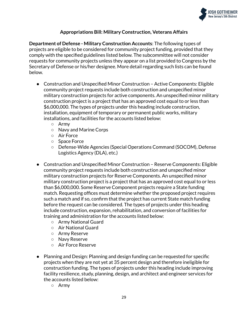

# **Appropriations Bill: Military Construction, Veterans Affairs**

**Department of Defense - Military Construction Accounts**: The following types of projects are eligible to be considered for community project funding, provided that they comply with the specified guidelines listed below. The subcommittee will not consider requests for community projects unless they appear on a list provided to Congress by the Secretary of Defense or his/her designee. More detail regarding such lists can be found below.

- Construction and Unspecified Minor Construction Active Components: Eligible community project requests include both construction and unspecified minor military construction projects for active components. An unspecified minor military construction project is a project that has an approved cost equal to or less than \$6,000,000. The types of projects under this heading include construction, installation, equipment of temporary or permanent public works, military installations, and facilities for the accounts listed below:
	- Army
	- Navy and Marine Corps
	- Air Force
	- Space Force
	- Defense-Wide Agencies (Special Operations Command (SOCOM), Defense Logistics Agency (DLA), etc.)
- Construction and Unspecified Minor Construction Reserve Components: Eligible community project requests include both construction and unspecified minor military construction projects for Reserve Components. An unspecified minor military construction project is a project that has an approved cost equal to or less than \$6,000,000. Some Reserve Component projects require a State funding match. Requesting offices must determine whether the proposed project requires such a match and if so, confirm that the project has current State match funding before the request can be considered. The types of projects under this heading include construction, expansion, rehabilitation, and conversion of facilities for training and administration for the accounts listed below:
	- Army National Guard
	- Air National Guard
	- Army Reserve
	- Navy Reserve
	- Air Force Reserve
- Planning and Design: Planning and design funding can be requested for specific projects when they are not yet at 35 percent design and therefore ineligible for construction funding. The types of projects under this heading include improving facility resilience, study, planning, design, and architect and engineer services for the accounts listed below:
	- Army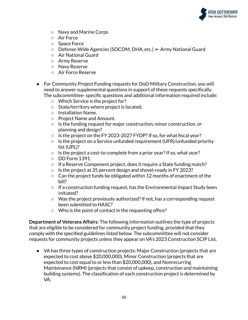

- Navy and Marine Corps
- Air Force
- Space Force
- $\circ$  Defense-Wide Agencies (SOCOM, DHA, etc.)  $\triangleright$  Army National Guard
- Air National Guard
- Army Reserve
- Navy Reserve
- Air Force Reserve
- For Community Project Funding requests for DoD Military Construction, you will need to answer supplemental questions in support of these requests specifically. The subcommittee- specific questions and additional information required include:
	- Which Service is the project for?
	- State/territory where project is located.
	- Installation Name.
	- Project Name and Amount.
	- Is the funding request for major construction, minor construction, or planning and design?
	- Is the project on the FY 2023-2027 FYDP?If so, for what fiscal year?
	- $\circ$  Is the project on a Service unfunded requirement (UFR)/unfunded priority list (UPL)?
	- $\circ$  Is the project a cost-to-complete from a prior year? If so, what year?
	- $\circ$  DD Form 1391.
	- If a Reserve Component project, does it require a State funding match?
	- Is the project at 35 percent design and shovel-ready in FY 2023?
	- Can the project funds be obligated within 12 months of enactment of the bill?
	- $\circ$  If a construction funding request, has the Environmental Impact Study been initiated?
	- $\circ$  Was the project previously authorized? If not, has a corresponding request been submitted to HASC?
	- Who is the point of contact in the requesting office?

**Department of Veterans Affairs**: The following information outlines the type of projects that are eligible to be considered for community project funding, provided that they comply with the specified guidelines listed below. The subcommittee will not consider requests for community projects unless they appear on VA's 2023 Construction SCIP List.

● VA has three types of construction projects: Major Construction (projects that are expected to cost above \$20,000,000), Minor Construction (projects that are expected to cost equal to or less than \$20,000,000), and Nonrecurring Maintenance (NRM) (projects that consist of upkeep, construction and maintaining building systems). The classification of each construction project is determined by VA.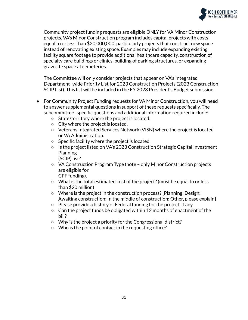

Community project funding requests are eligible ONLY for VA Minor Construction projects. VA's Minor Construction program includes capital projects with costs equal to or less than \$20,000,000, particularly projects that construct new space instead of renovating existing space. Examples may include expanding existing facility square footage to provide additional healthcare capacity, construction of specialty care buildings or clinics, building of parking structures, or expanding gravesite space at cemeteries.

The Committee will only consider projects that appear on VA's Integrated Department- wide Priority List for 2023 Construction Projects (2023 Construction SCIP List). This list will be included in the FY 2023 President's Budget submission.

- For Community Project Funding requests for VA Minor Construction, you will need to answer supplemental questions in support of these requests specifically. The subcommittee -specific questions and additional information required include:
	- State/territory where the project is located.
	- City where the project is located.
	- Veterans Integrated Services Network (VISN) where the project is located or VA Administration.
	- Specific facility where the project is located.
	- Is the project listed on VA's 2023 Construction Strategic Capital Investment Planning (SCIP) list?
	- VA Construction Program Type (note only Minor Construction projects are eligible for CPF funding).
	- What is the total estimated cost of the project?(must be equal to or less than \$20 million)
	- Where is the project in the construction process?[Planning; Design; Awaiting construction; In the middle of construction; Other, please explain]
	- Please provide a history of Federal funding for the project, if any.
	- $\circ$  Can the project funds be obligated within 12 months of enactment of the bill?
	- Why is the project a priority for the Congressional district?
	- Who is the point of contact in the requesting office?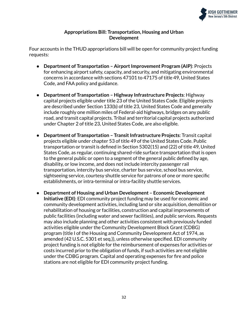

## **Appropriations Bill: Transportation, Housing and Urban Development**

Four accounts in the THUD appropriations bill will be open for community project funding requests:

- **Department of Transportation – AirportImprovement Program (AIP)**: Projects for enhancing airport safety, capacity, and security, and mitigating environmental concerns in accordance with sections 47101 to 47175 of title 49, United States Code, and FAA policy and guidance.
- **Department of Transportation – Highway Infrastructure Projects**: Highway capital projects eligible under title 23 of the United States Code. Eligible projects are described under Section 133(b) of title 23, United States Code and generally include roughly one million miles of Federal-aid highways, bridges on any public road, and transit capital projects. Tribal and territorial capital projects authorized under Chapter 2 of title 23, United States Code, are also eligible.
- **Department of Transportation Transit Infrastructure Projects: Transit capital** projects eligible under chapter 53 of title 49 of the United States Code. Public transportation or transit is defined in Section 5302(15) and (22) of title 49, United States Code, as regular, continuing shared-ride surface transportation that is open to the general public or open to a segment of the general public defined by age, disability, or low income, and does not include intercity passenger rail transportation, intercity bus service, charter bus service, school bus service, sightseeing service, courtesy shuttle service for patrons of one or more specific establishments, or intra-terminal or intra-facility shuttle services.
- **Department of Housing and Urban Development – Economic Development Initiative (EDI)**: EDI community project funding may be used for economic and community development activities, including land or site acquisition, demolition or rehabilitation of housing or facilities, construction and capital improvements of public facilities (including water and sewer facilities), and public services. Requests may also include planning and other activities consistent with previously funded activities eligible under the Community Development Block Grant (CDBG) program (title I of the Housing and Community Development Act of 1974, as amended (42 U.S.C. 5301 et seq.)), unless otherwise specified. EDI community project funding is not eligible for the reimbursement of expenses for activities or costs incurred prior to the obligation of funds, if such activities are not eligible under the CDBG program. Capital and operating expenses for fire and police stations are not eligible for EDI community project funding.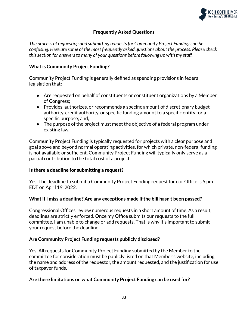

# **Frequently Asked Questions**

*The process of requesting and submitting requestsfor Community Project Funding can be confusing. Here are some of the most frequently asked questions about the process. Please check thissection for answersto many of your questions before following up with my staff.*

# **What is Community Project Funding?**

Community Project Funding is generally defined as spending provisions in federal legislation that:

- Are requested on behalf of constituents or constituent organizations by a Member of Congress;
- Provides, authorizes, or recommends a specific amount of discretionary budget authority, credit authority, or specific funding amount to a specific entity for a specific purpose; and,
- The purpose of the project must meet the objective of a federal program under existing law.

Community Project Funding is typically requested for projects with a clear purpose and goal above and beyond normal operating activities, for which private, non-federal funding is not available or sufficient. Community Project Funding will typically only serve as a partial contribution to the total cost of a project.

#### **Is there a deadline for submitting a request?**

Yes. The deadline to submit a Community Project Funding request for our Office is 5 pm EDT on April 19, 2022.

#### **Whatif I miss a deadline? Are any exceptions made ifthe bill hasn't been passed?**

Congressional Offices review numerous requests in a short amount of time. As a result, deadlines are strictly enforced. Once my Office submits our requests to the full committee, I am unable to change or add requests. That is why it's important to submit your request before the deadline.

#### **Are Community Project Funding requests publicly disclosed?**

Yes. All requests for Community Project Funding submitted by the Member to the committee for consideration must be publicly listed on that Member's website, including the name and address of the requestor, the amount requested, and the justification for use of taxpayer funds.

#### **Are there limitations on what Community Project Funding can be used for?**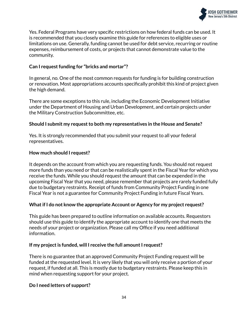

Yes. Federal Programs have very specific restrictions on how federal funds can be used. It is recommended that you closely examine this guide for references to eligible uses or limitations on use. Generally, funding cannot be used for debt service, recurring or routine expenses, reimbursement of costs, or projects that cannot demonstrate value to the community.

# **Can** I request funding for "bricks and mortar"?

In general, no. One of the most common requests for funding is for building construction or renovation. Most appropriations accounts specifically prohibit this kind of project given the high demand.

There are some exceptions to this rule, including the Economic Development Initiative under the Department of Housing and Urban Development, and certain projects under the Military Construction Subcommittee, etc.

#### **Should I submit my requestto both my representatives in the House and Senate?**

Yes. It is strongly recommended that you submit your request to all your federal representatives.

# **How much should I request?**

It depends on the account from which you are requesting funds. You should not request more funds than you need or that can be realistically spent in the Fiscal Year for which you receive the funds. While you should request the amount that can be expended in the upcoming Fiscal Year that you need, please remember that projects are rarely funded fully due to budgetary restraints. Receipt of funds from Community Project Funding in one Fiscal Year is not a guarantee for Community Project Funding in future Fiscal Years.

#### **Whatif I do not know the appropriate Account or Agency for my project request?**

This guide has been prepared to outline information on available accounts. Requestors should use this guide to identify the appropriate account to identify one that meets the needs of your project or organization. Please call my Office if you need additional information.

#### **If** my project is funded, will I receive the full amount I request?

There is no guarantee that an approved Community Project Funding request will be funded at the requested level. It is very likely that you will only receive a portion of your request, if funded at all. This is mostly due to budgetary restraints. Please keep this in mind when requesting support for your project.

#### **Do I need letters of support?**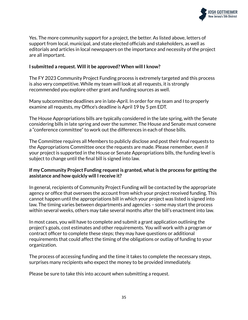

Yes. The more community support for a project, the better. As listed above, letters of support from local, municipal, and state elected officials and stakeholders, as well as editorials and articles in local newspapers on the importance and necessity of the project are all important.

## **I submitted a request. Will it be approved? When will I know?**

The FY 2023 Community Project Funding process is extremely targeted and this process is also very competitive. While my team will look at all requests, it is strongly recommended you explore other grant and funding sources as well.

Many subcommittee deadlines are in late-April. In order for my team and I to properly examine all requests, my Office's deadline is April 19 by 5 pm EDT.

The House Appropriations bills are typically considered in the late spring, with the Senate considering bills in late spring and over the summer. The House and Senate must convene a "conference committee" to work out the differences in each of those bills.

The Committee requires all Members to publicly disclose and post their final requests to the Appropriations Committee once the requests are made. Please remember, even if your project is supported in the House or Senate Appropriations bills, the funding level is subject to change until the final bill is signed into law.

# **If my Community Project Funding requestis granted, whatis the process for getting the assistance and how quickly will I receive it?**

In general, recipients of Community Project Funding will be contacted by the appropriate agency or office that oversees the account from which your project received funding. This cannot happen until the appropriations bill in which your project was listed is signed into law. The timing varies between departments and agencies – some may start the process within several weeks, others may take several months after the bill's enactment into law.

In most cases, you will have to complete and submit a grant application outlining the project's goals, cost estimates and other requirements. You will work with a program or contract officer to complete these steps; they may have questions or additional requirements that could affect the timing of the obligations or outlay of funding to your organization.

The process of accessing funding and the time it takes to complete the necessary steps, surprises many recipients who expect the money to be provided immediately.

Please be sure to take this into account when submitting a request.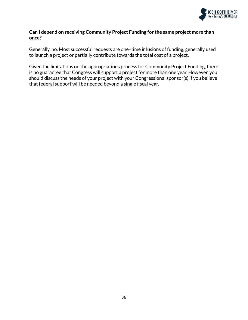

#### **Can I depend on receiving Community Project Funding for the same project more than once?**

Generally, no. Most successful requests are one‐time infusions of funding, generally used to launch a project or partially contribute towards the total cost of a project.

Given the limitations on the appropriations process for Community Project Funding, there is no guarantee that Congress will support a project for more than one year. However, you should discuss the needs of your project with your Congressional sponsor(s) if you believe that federal support will be needed beyond a single fiscal year.